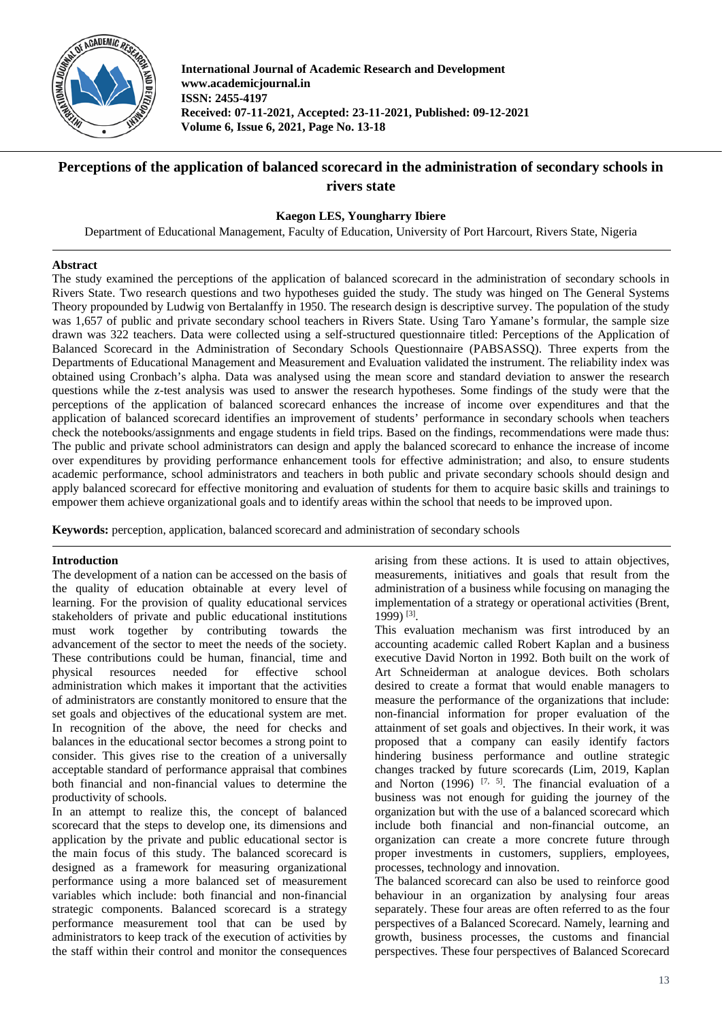

**International Journal of Academic Research and Development www.academicjournal.in ISSN: 2455-4197 Received: 07-11-2021, Accepted: 23-11-2021, Published: 09-12-2021 Volume 6, Issue 6, 2021, Page No. 13-18**

# **Perceptions of the application of balanced scorecard in the administration of secondary schools in rivers state**

# **Kaegon LES, Youngharry Ibiere**

Department of Educational Management, Faculty of Education, University of Port Harcourt, Rivers State, Nigeria

# **Abstract**

The study examined the perceptions of the application of balanced scorecard in the administration of secondary schools in Rivers State. Two research questions and two hypotheses guided the study. The study was hinged on The General Systems Theory propounded by Ludwig von Bertalanffy in 1950. The research design is descriptive survey. The population of the study was 1,657 of public and private secondary school teachers in Rivers State. Using Taro Yamane's formular, the sample size drawn was 322 teachers. Data were collected using a self-structured questionnaire titled: Perceptions of the Application of Balanced Scorecard in the Administration of Secondary Schools Questionnaire (PABSASSQ). Three experts from the Departments of Educational Management and Measurement and Evaluation validated the instrument. The reliability index was obtained using Cronbach's alpha. Data was analysed using the mean score and standard deviation to answer the research questions while the z-test analysis was used to answer the research hypotheses. Some findings of the study were that the perceptions of the application of balanced scorecard enhances the increase of income over expenditures and that the application of balanced scorecard identifies an improvement of students' performance in secondary schools when teachers check the notebooks/assignments and engage students in field trips. Based on the findings, recommendations were made thus: The public and private school administrators can design and apply the balanced scorecard to enhance the increase of income over expenditures by providing performance enhancement tools for effective administration; and also, to ensure students academic performance, school administrators and teachers in both public and private secondary schools should design and apply balanced scorecard for effective monitoring and evaluation of students for them to acquire basic skills and trainings to empower them achieve organizational goals and to identify areas within the school that needs to be improved upon.

**Keywords:** perception, application, balanced scorecard and administration of secondary schools

# **Introduction**

The development of a nation can be accessed on the basis of the quality of education obtainable at every level of learning. For the provision of quality educational services stakeholders of private and public educational institutions must work together by contributing towards the advancement of the sector to meet the needs of the society. These contributions could be human, financial, time and physical resources needed for effective school administration which makes it important that the activities of administrators are constantly monitored to ensure that the set goals and objectives of the educational system are met. In recognition of the above, the need for checks and balances in the educational sector becomes a strong point to consider. This gives rise to the creation of a universally acceptable standard of performance appraisal that combines both financial and non-financial values to determine the productivity of schools.

In an attempt to realize this, the concept of balanced scorecard that the steps to develop one, its dimensions and application by the private and public educational sector is the main focus of this study. The balanced scorecard is designed as a framework for measuring organizational performance using a more balanced set of measurement variables which include: both financial and non-financial strategic components. Balanced scorecard is a strategy performance measurement tool that can be used by administrators to keep track of the execution of activities by the staff within their control and monitor the consequences arising from these actions. It is used to attain objectives, measurements, initiatives and goals that result from the administration of a business while focusing on managing the implementation of a strategy or operational activities (Brent, 1999) [3].

This evaluation mechanism was first introduced by an accounting academic called Robert Kaplan and a business executive David Norton in 1992. Both built on the work of Art Schneiderman at analogue devices. Both scholars desired to create a format that would enable managers to measure the performance of the organizations that include: non-financial information for proper evaluation of the attainment of set goals and objectives. In their work, it was proposed that a company can easily identify factors hindering business performance and outline strategic changes tracked by future scorecards (Lim, 2019, Kaplan and Norton  $(1996)$  <sup>[7, 5]</sup>. The financial evaluation of a business was not enough for guiding the journey of the organization but with the use of a balanced scorecard which include both financial and non-financial outcome, an organization can create a more concrete future through proper investments in customers, suppliers, employees, processes, technology and innovation.

The balanced scorecard can also be used to reinforce good behaviour in an organization by analysing four areas separately. These four areas are often referred to as the four perspectives of a Balanced Scorecard. Namely, learning and growth, business processes, the customs and financial perspectives. These four perspectives of Balanced Scorecard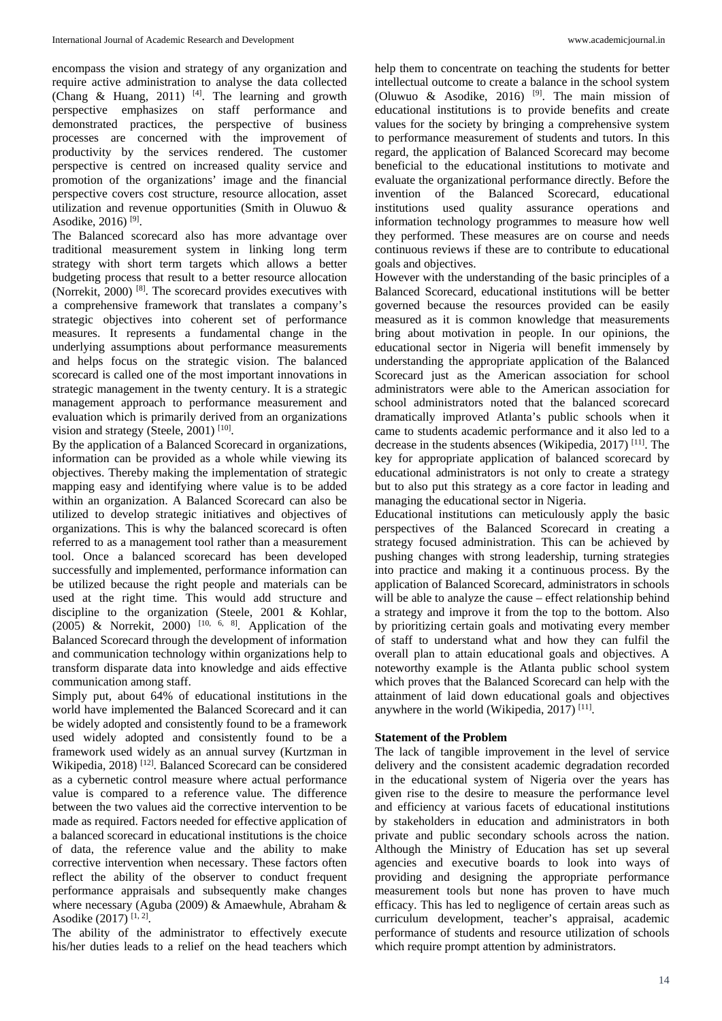encompass the vision and strategy of any organization and require active administration to analyse the data collected (Chang & Huang, 2011)  $[4]$ . The learning and growth perspective emphasizes on staff performance and demonstrated practices, the perspective of business processes are concerned with the improvement of productivity by the services rendered. The customer perspective is centred on increased quality service and promotion of the organizations' image and the financial perspective covers cost structure, resource allocation, asset utilization and revenue opportunities (Smith in Oluwuo & Asodike, 2016)<sup>[9]</sup>.

The Balanced scorecard also has more advantage over traditional measurement system in linking long term strategy with short term targets which allows a better budgeting process that result to a better resource allocation (Norrekit, 2000) [8] . The scorecard provides executives with a comprehensive framework that translates a company's strategic objectives into coherent set of performance measures. It represents a fundamental change in the underlying assumptions about performance measurements and helps focus on the strategic vision. The balanced scorecard is called one of the most important innovations in strategic management in the twenty century. It is a strategic management approach to performance measurement and evaluation which is primarily derived from an organizations vision and strategy (Steele, 2001)<sup>[10]</sup>.

By the application of a Balanced Scorecard in organizations, information can be provided as a whole while viewing its objectives. Thereby making the implementation of strategic mapping easy and identifying where value is to be added within an organization. A Balanced Scorecard can also be utilized to develop strategic initiatives and objectives of organizations. This is why the balanced scorecard is often referred to as a management tool rather than a measurement tool. Once a balanced scorecard has been developed successfully and implemented, performance information can be utilized because the right people and materials can be used at the right time. This would add structure and discipline to the organization (Steele, 2001 & Kohlar, (2005) & Norrekit, 2000)  $[10, 6, 8]$ . Application of the Balanced Scorecard through the development of information and communication technology within organizations help to transform disparate data into knowledge and aids effective communication among staff.

Simply put, about 64% of educational institutions in the world have implemented the Balanced Scorecard and it can be widely adopted and consistently found to be a framework used widely adopted and consistently found to be a framework used widely as an annual survey (Kurtzman in Wikipedia, 2018)<sup>[12]</sup>. Balanced Scorecard can be considered as a cybernetic control measure where actual performance value is compared to a reference value. The difference between the two values aid the corrective intervention to be made as required. Factors needed for effective application of a balanced scorecard in educational institutions is the choice of data, the reference value and the ability to make corrective intervention when necessary. These factors often reflect the ability of the observer to conduct frequent performance appraisals and subsequently make changes where necessary (Aguba (2009) & Amaewhule, Abraham & Asodike (2017)<sup>[1, 2]</sup>.

The ability of the administrator to effectively execute his/her duties leads to a relief on the head teachers which help them to concentrate on teaching the students for better intellectual outcome to create a balance in the school system (Oluwuo & Asodike, 2016)<sup>[9]</sup>. The main mission of educational institutions is to provide benefits and create values for the society by bringing a comprehensive system to performance measurement of students and tutors. In this regard, the application of Balanced Scorecard may become beneficial to the educational institutions to motivate and evaluate the organizational performance directly. Before the invention of the Balanced Scorecard, educational institutions used quality assurance operations and information technology programmes to measure how well they performed. These measures are on course and needs continuous reviews if these are to contribute to educational goals and objectives.

However with the understanding of the basic principles of a Balanced Scorecard, educational institutions will be better governed because the resources provided can be easily measured as it is common knowledge that measurements bring about motivation in people. In our opinions, the educational sector in Nigeria will benefit immensely by understanding the appropriate application of the Balanced Scorecard just as the American association for school administrators were able to the American association for school administrators noted that the balanced scorecard dramatically improved Atlanta's public schools when it came to students academic performance and it also led to a decrease in the students absences (Wikipedia, 2017) [11] . The key for appropriate application of balanced scorecard by educational administrators is not only to create a strategy but to also put this strategy as a core factor in leading and managing the educational sector in Nigeria.

Educational institutions can meticulously apply the basic perspectives of the Balanced Scorecard in creating a strategy focused administration. This can be achieved by pushing changes with strong leadership, turning strategies into practice and making it a continuous process. By the application of Balanced Scorecard, administrators in schools will be able to analyze the cause – effect relationship behind a strategy and improve it from the top to the bottom. Also by prioritizing certain goals and motivating every member of staff to understand what and how they can fulfil the overall plan to attain educational goals and objectives. A noteworthy example is the Atlanta public school system which proves that the Balanced Scorecard can help with the attainment of laid down educational goals and objectives anywhere in the world (Wikipedia, 2017)<sup>[11]</sup>.

#### **Statement of the Problem**

The lack of tangible improvement in the level of service delivery and the consistent academic degradation recorded in the educational system of Nigeria over the years has given rise to the desire to measure the performance level and efficiency at various facets of educational institutions by stakeholders in education and administrators in both private and public secondary schools across the nation. Although the Ministry of Education has set up several agencies and executive boards to look into ways of providing and designing the appropriate performance measurement tools but none has proven to have much efficacy. This has led to negligence of certain areas such as curriculum development, teacher's appraisal, academic performance of students and resource utilization of schools which require prompt attention by administrators.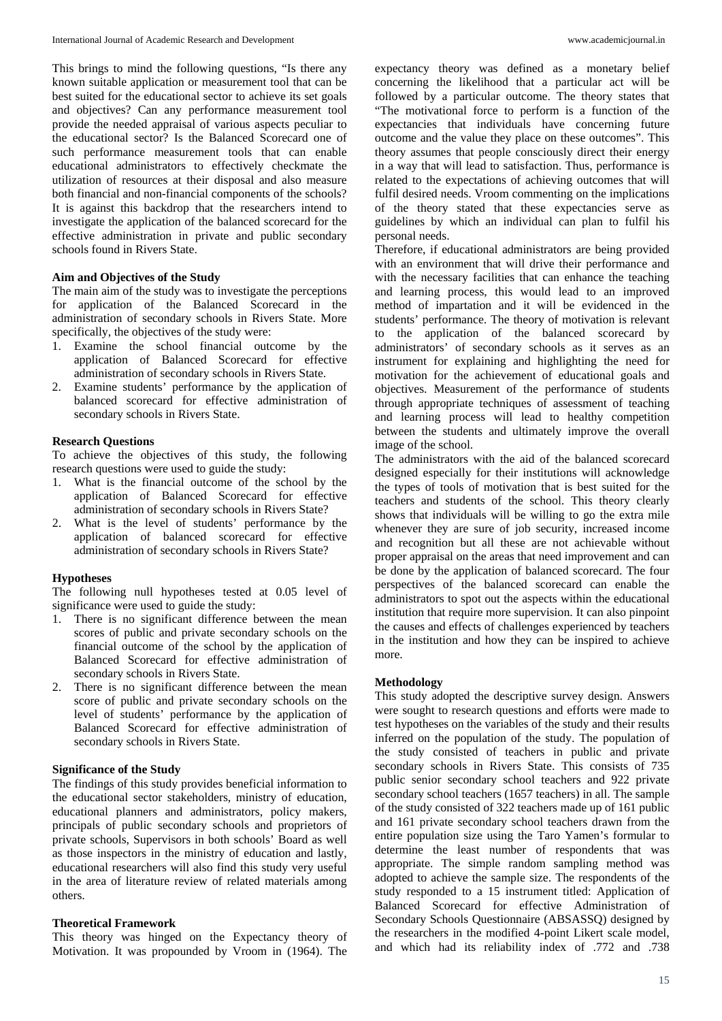This brings to mind the following questions, "Is there any known suitable application or measurement tool that can be best suited for the educational sector to achieve its set goals and objectives? Can any performance measurement tool provide the needed appraisal of various aspects peculiar to the educational sector? Is the Balanced Scorecard one of such performance measurement tools that can enable educational administrators to effectively checkmate the utilization of resources at their disposal and also measure both financial and non-financial components of the schools? It is against this backdrop that the researchers intend to investigate the application of the balanced scorecard for the effective administration in private and public secondary schools found in Rivers State.

#### **Aim and Objectives of the Study**

The main aim of the study was to investigate the perceptions for application of the Balanced Scorecard in the administration of secondary schools in Rivers State. More specifically, the objectives of the study were:

- 1. Examine the school financial outcome by the application of Balanced Scorecard for effective administration of secondary schools in Rivers State.
- 2. Examine students' performance by the application of balanced scorecard for effective administration of secondary schools in Rivers State.

#### **Research Questions**

To achieve the objectives of this study, the following research questions were used to guide the study:

- 1. What is the financial outcome of the school by the application of Balanced Scorecard for effective administration of secondary schools in Rivers State?
- 2. What is the level of students' performance by the application of balanced scorecard for effective administration of secondary schools in Rivers State?

#### **Hypotheses**

The following null hypotheses tested at 0.05 level of significance were used to guide the study:

- 1. There is no significant difference between the mean scores of public and private secondary schools on the financial outcome of the school by the application of Balanced Scorecard for effective administration of secondary schools in Rivers State.
- 2. There is no significant difference between the mean score of public and private secondary schools on the level of students' performance by the application of Balanced Scorecard for effective administration of secondary schools in Rivers State.

#### **Significance of the Study**

The findings of this study provides beneficial information to the educational sector stakeholders, ministry of education, educational planners and administrators, policy makers, principals of public secondary schools and proprietors of private schools, Supervisors in both schools' Board as well as those inspectors in the ministry of education and lastly, educational researchers will also find this study very useful in the area of literature review of related materials among others.

# **Theoretical Framework**

This theory was hinged on the Expectancy theory of Motivation. It was propounded by Vroom in (1964). The expectancy theory was defined as a monetary belief concerning the likelihood that a particular act will be followed by a particular outcome. The theory states that "The motivational force to perform is a function of the expectancies that individuals have concerning future outcome and the value they place on these outcomes". This theory assumes that people consciously direct their energy in a way that will lead to satisfaction. Thus, performance is related to the expectations of achieving outcomes that will fulfil desired needs. Vroom commenting on the implications of the theory stated that these expectancies serve as guidelines by which an individual can plan to fulfil his personal needs.

Therefore, if educational administrators are being provided with an environment that will drive their performance and with the necessary facilities that can enhance the teaching and learning process, this would lead to an improved method of impartation and it will be evidenced in the students' performance. The theory of motivation is relevant to the application of the balanced scorecard by administrators' of secondary schools as it serves as an instrument for explaining and highlighting the need for motivation for the achievement of educational goals and objectives. Measurement of the performance of students through appropriate techniques of assessment of teaching and learning process will lead to healthy competition between the students and ultimately improve the overall image of the school.

The administrators with the aid of the balanced scorecard designed especially for their institutions will acknowledge the types of tools of motivation that is best suited for the teachers and students of the school. This theory clearly shows that individuals will be willing to go the extra mile whenever they are sure of job security, increased income and recognition but all these are not achievable without proper appraisal on the areas that need improvement and can be done by the application of balanced scorecard. The four perspectives of the balanced scorecard can enable the administrators to spot out the aspects within the educational institution that require more supervision. It can also pinpoint the causes and effects of challenges experienced by teachers in the institution and how they can be inspired to achieve more.

#### **Methodology**

This study adopted the descriptive survey design. Answers were sought to research questions and efforts were made to test hypotheses on the variables of the study and their results inferred on the population of the study. The population of the study consisted of teachers in public and private secondary schools in Rivers State. This consists of 735 public senior secondary school teachers and 922 private secondary school teachers (1657 teachers) in all. The sample of the study consisted of 322 teachers made up of 161 public and 161 private secondary school teachers drawn from the entire population size using the Taro Yamen's formular to determine the least number of respondents that was appropriate. The simple random sampling method was adopted to achieve the sample size. The respondents of the study responded to a 15 instrument titled: Application of Balanced Scorecard for effective Administration of Secondary Schools Questionnaire (ABSASSQ) designed by the researchers in the modified 4-point Likert scale model, and which had its reliability index of .772 and .738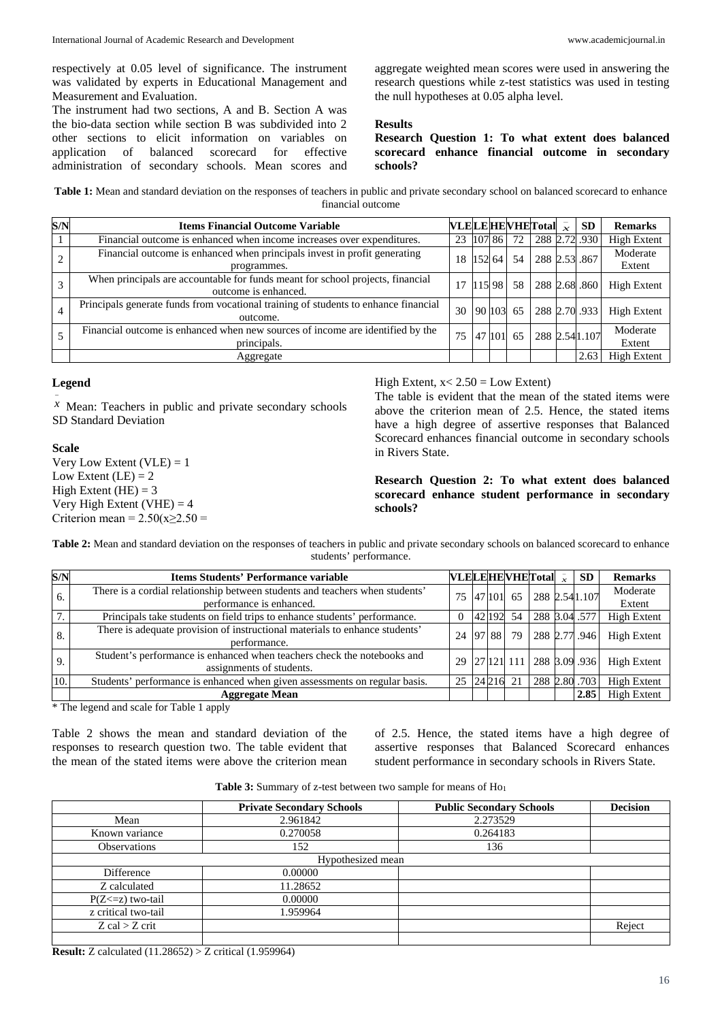respectively at 0.05 level of significance. The instrument was validated by experts in Educational Management and Measurement and Evaluation.

The instrument had two sections, A and B. Section A was the bio-data section while section B was subdivided into 2 other sections to elicit information on variables on application of balanced scorecard for effective administration of secondary schools. Mean scores and aggregate weighted mean scores were used in answering the research questions while z-test statistics was used in testing the null hypotheses at 0.05 alpha level.

#### **Results**

**Research Question 1: To what extent does balanced scorecard enhance financial outcome in secondary schools?**

**Table 1:** Mean and standard deviation on the responses of teachers in public and private secondary school on balanced scorecard to enhance financial outcome

| S/N | <b>Items Financial Outcome Variable</b>                                                                |           |        |    | VLELE HEVHET otal $\overline{x}$ | SD             | <b>Remarks</b>     |
|-----|--------------------------------------------------------------------------------------------------------|-----------|--------|----|----------------------------------|----------------|--------------------|
|     | Financial outcome is enhanced when income increases over expenditures.                                 | 23        | 107 86 | 72 |                                  | 288 2.72 .930  | <b>High Extent</b> |
|     | Financial outcome is enhanced when principals invest in profit generating<br>programmes.               | 18        | 15264  | 54 | 288 2.53 .867                    |                | Moderate<br>Extent |
|     | When principals are accountable for funds meant for school projects, financial<br>outcome is enhanced. | 17        | 115 98 | 58 | 288 2.68 .860                    |                | <b>High Extent</b> |
|     | Principals generate funds from vocational training of students to enhance financial<br>outcome.        | 30        | 90 103 | 65 |                                  | 288 2.70 .933  | <b>High Extent</b> |
|     | Financial outcome is enhanced when new sources of income are identified by the<br>principals.          | 75 47 101 |        | 65 |                                  | 288 2.54 1.107 | Moderate<br>Extent |
|     | Aggregate                                                                                              |           |        |    |                                  | 2.63           | <b>High Extent</b> |

# **Legend**

−

*x* Mean: Teachers in public and private secondary schools SD Standard Deviation

## **Scale** Very Low Extent  $(VLE) = 1$ Low Extent  $(LE) = 2$ High Extent  $(HE) = 3$ Very High Extent (VHE)  $=$  4 Criterion mean =  $2.50(x\geq2.50$  =

High Extent,  $x < 2.50$  = Low Extent)

The table is evident that the mean of the stated items were above the criterion mean of 2.5. Hence, the stated items have a high degree of assertive responses that Balanced Scorecard enhances financial outcome in secondary schools in Rivers State.

**Research Question 2: To what extent does balanced scorecard enhance student performance in secondary schools?**

**Table 2:** Mean and standard deviation on the responses of teachers in public and private secondary schools on balanced scorecard to enhance students' performance.

| S/N          | <b>Items Students' Performance variable</b>                                                              |    |    |        |    | <b>VLELEHEVHET</b> otal $\overline{x}$ | <b>SD</b>                | <b>Remarks</b>     |
|--------------|----------------------------------------------------------------------------------------------------------|----|----|--------|----|----------------------------------------|--------------------------|--------------------|
| 6.           | There is a cordial relationship between students and teachers when students'<br>performance is enhanced. | 75 |    | 47 101 | 65 |                                        | 288 2.54 1.107           | Moderate<br>Extent |
| $\mathbf{r}$ | Principals take students on field trips to enhance students' performance.                                |    |    | 42 192 | 54 |                                        | 288 3.04 .577            | <b>High Extent</b> |
| 8.           | There is adequate provision of instructional materials to enhance students'<br>performance.              | 24 | 97 | 88     | 79 | 288 2.77 .946                          |                          | <b>High Extent</b> |
| 9.           | Student's performance is enhanced when teachers check the notebooks and<br>assignments of students.      | 29 |    |        |    |                                        | 27 121 111 288 3.09 .936 | <b>High Extent</b> |
| 10.          | Students' performance is enhanced when given assessments on regular basis.                               | 25 |    | 24 216 | 21 |                                        | 288 2.80 .703            | <b>High Extent</b> |
|              | <b>Aggregate Mean</b>                                                                                    |    |    |        |    |                                        | 2.85                     | <b>High Extent</b> |

\* The legend and scale for Table 1 apply

Table 2 shows the mean and standard deviation of the responses to research question two. The table evident that the mean of the stated items were above the criterion mean of 2.5. Hence, the stated items have a high degree of assertive responses that Balanced Scorecard enhances student performance in secondary schools in Rivers State.

| <b>Table 3:</b> Summary of z-test between two sample for means of Ho <sub>1</sub> |  |  |
|-----------------------------------------------------------------------------------|--|--|
|-----------------------------------------------------------------------------------|--|--|

|                       | <b>Private Secondary Schools</b> | <b>Public Secondary Schools</b> | <b>Decision</b> |  |  |  |
|-----------------------|----------------------------------|---------------------------------|-----------------|--|--|--|
| Mean                  | 2.961842                         | 2.273529                        |                 |  |  |  |
| Known variance        | 0.270058                         | 0.264183                        |                 |  |  |  |
| <b>Observations</b>   | 152                              | 136                             |                 |  |  |  |
| Hypothesized mean     |                                  |                                 |                 |  |  |  |
| Difference            | 0.00000                          |                                 |                 |  |  |  |
| Z calculated          | 11.28652                         |                                 |                 |  |  |  |
| $P(Z \le z)$ two-tail | 0.00000                          |                                 |                 |  |  |  |
| z critical two-tail   | 1.959964                         |                                 |                 |  |  |  |
| $Z$ cal $>$ Z crit    |                                  |                                 | Reject          |  |  |  |
|                       |                                  |                                 |                 |  |  |  |

**Result:** Z calculated (11.28652) > Z critical (1.959964)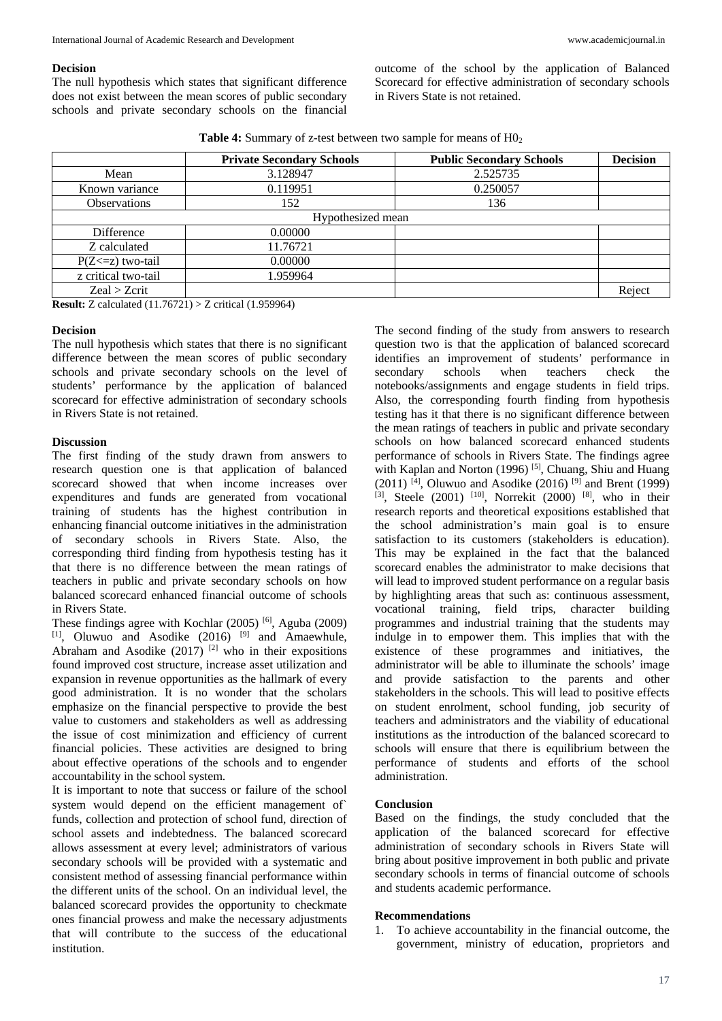The null hypothesis which states that significant difference does not exist between the mean scores of public secondary schools and private secondary schools on the financial outcome of the school by the application of Balanced Scorecard for effective administration of secondary schools in Rivers State is not retained.

**Table 4:** Summary of z-test between two sample for means of  $H_0$ <sup>2</sup>

|                       | <b>Private Secondary Schools</b> | <b>Public Secondary Schools</b> | <b>Decision</b> |  |  |
|-----------------------|----------------------------------|---------------------------------|-----------------|--|--|
| Mean                  | 3.128947                         | 2.525735                        |                 |  |  |
| Known variance        | 0.119951                         | 0.250057                        |                 |  |  |
| <b>Observations</b>   | 152                              | 136                             |                 |  |  |
| Hypothesized mean     |                                  |                                 |                 |  |  |
| Difference            | 0.00000                          |                                 |                 |  |  |
| Z calculated          | 11.76721                         |                                 |                 |  |  |
| $P(Z \le z)$ two-tail | 0.00000                          |                                 |                 |  |  |
| z critical two-tail   | 1.959964                         |                                 |                 |  |  |
| Zeal > Zcrit          |                                  |                                 | Reject          |  |  |

**Result:** Z calculated (11.76721) > Z critical (1.959964)

## **Decision**

The null hypothesis which states that there is no significant difference between the mean scores of public secondary schools and private secondary schools on the level of students' performance by the application of balanced scorecard for effective administration of secondary schools in Rivers State is not retained.

## **Discussion**

The first finding of the study drawn from answers to research question one is that application of balanced scorecard showed that when income increases over expenditures and funds are generated from vocational training of students has the highest contribution in enhancing financial outcome initiatives in the administration of secondary schools in Rivers State. Also, the corresponding third finding from hypothesis testing has it that there is no difference between the mean ratings of teachers in public and private secondary schools on how balanced scorecard enhanced financial outcome of schools in Rivers State.

These findings agree with Kochlar (2005)<sup>[6]</sup>, Aguba (2009)  $[1]$ , Oluwuo and Asodike (2016)  $[9]$  and Amaewhule, Abraham and Asodike  $(2017)$ <sup>[2]</sup> who in their expositions found improved cost structure, increase asset utilization and expansion in revenue opportunities as the hallmark of every good administration. It is no wonder that the scholars emphasize on the financial perspective to provide the best value to customers and stakeholders as well as addressing the issue of cost minimization and efficiency of current financial policies. These activities are designed to bring about effective operations of the schools and to engender accountability in the school system.

It is important to note that success or failure of the school system would depend on the efficient management of` funds, collection and protection of school fund, direction of school assets and indebtedness. The balanced scorecard allows assessment at every level; administrators of various secondary schools will be provided with a systematic and consistent method of assessing financial performance within the different units of the school. On an individual level, the balanced scorecard provides the opportunity to checkmate ones financial prowess and make the necessary adjustments that will contribute to the success of the educational institution.

The second finding of the study from answers to research question two is that the application of balanced scorecard identifies an improvement of students' performance in secondary schools when teachers check the notebooks/assignments and engage students in field trips. Also, the corresponding fourth finding from hypothesis testing has it that there is no significant difference between the mean ratings of teachers in public and private secondary schools on how balanced scorecard enhanced students performance of schools in Rivers State. The findings agree with Kaplan and Norton (1996)<sup>[5]</sup>, Chuang, Shiu and Huang (2011) <sup>[4]</sup>, Oluwuo and Asodike (2016) <sup>[9]</sup> and Brent (1999) <sup>[3]</sup>, Steele (2001) <sup>[10]</sup>, Norrekit (2000) <sup>[8]</sup>, who in their research reports and theoretical expositions established that the school administration's main goal is to ensure satisfaction to its customers (stakeholders is education). This may be explained in the fact that the balanced scorecard enables the administrator to make decisions that will lead to improved student performance on a regular basis by highlighting areas that such as: continuous assessment, vocational training, field trips, character building programmes and industrial training that the students may indulge in to empower them. This implies that with the existence of these programmes and initiatives, the administrator will be able to illuminate the schools' image and provide satisfaction to the parents and other stakeholders in the schools. This will lead to positive effects on student enrolment, school funding, job security of teachers and administrators and the viability of educational institutions as the introduction of the balanced scorecard to schools will ensure that there is equilibrium between the performance of students and efforts of the school administration.

# **Conclusion**

Based on the findings, the study concluded that the application of the balanced scorecard for effective administration of secondary schools in Rivers State will bring about positive improvement in both public and private secondary schools in terms of financial outcome of schools and students academic performance.

#### **Recommendations**

1. To achieve accountability in the financial outcome, the government, ministry of education, proprietors and